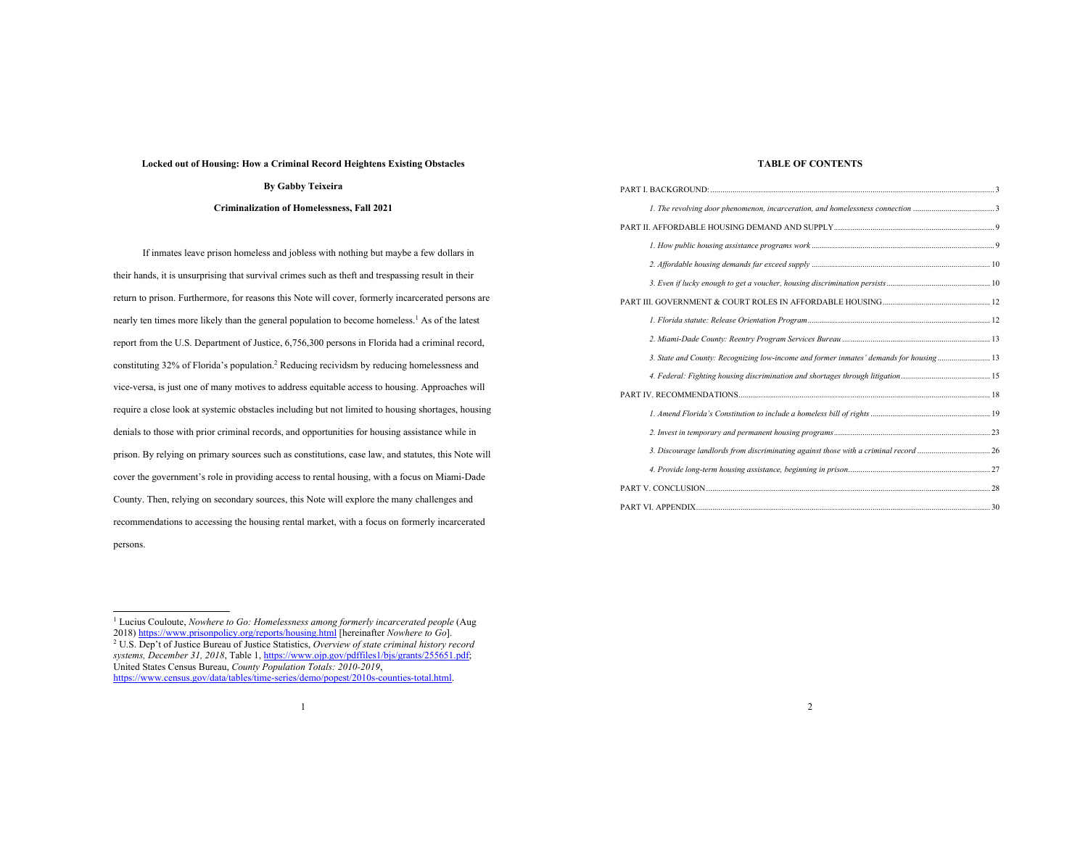#### **Locked out of Housing: How a Criminal Record Heightens Existing Obstacles**

# **By Gabby Teixeira**

# **Criminalization of Homelessness, Fall 2021**

If inmates leave prison homeless and jobless with nothing but maybe a few dollars in their hands, it is unsurprising that survival crimes such as theft and trespassing result in their return to prison. Furthermore, for reasons this Note will cover, formerly incarcerated persons are nearly ten times more likely than the general population to become homeless.<sup>1</sup> As of the latest report from the U.S. Department of Justice, 6,756,300 persons in Florida had a criminal record, constituting 32% of Florida's population. <sup>2</sup> Reducing recividsm by reducing homelessness and vice-versa, is just one of many motives to address equitable access to housing. Approaches will require a close look at systemic obstacles including but not limited to housing shortages, housing denials to those with prior criminal records, and opportunities for housing assistance while in prison. By relying on primary sources such as constitutions, case law, and statutes, this Note will cover the government's role in providing access to rental housing, with a focus on Miami-Dade County. Then, relying on secondary sources, this Note will explore the many challenges and recommendations to accessing the housing rental market, with a focus on formerly incarcerated persons.

# **TABLE OF CONTENTS**

| 3. State and County: Recognizing low-income and former inmates' demands for housing 13 |  |
|----------------------------------------------------------------------------------------|--|
|                                                                                        |  |
|                                                                                        |  |
|                                                                                        |  |
|                                                                                        |  |
|                                                                                        |  |
|                                                                                        |  |
|                                                                                        |  |
|                                                                                        |  |

<sup>&</sup>lt;sup>1</sup> Lucius Couloute, *Nowhere to Go: Homelessness among formerly incarcerated people* (Aug 2018) https://www.prisonpolicy.org/reports/housing.html [hereinafter *Nowhere to Go*]. <sup>2</sup> U.S. Dep't of Justice Bureau of Justice Statistics, *Overview of state criminal history record systems, December 31, 2018*, Table 1, https://www.ojp.gov/pdffiles1/bjs/grants/255651.pdf; United States Census Bureau, *County Population Totals: 2010-2019*, https://www.census.gov/data/tables/time-series/demo/popest/2010s-counties-total.html.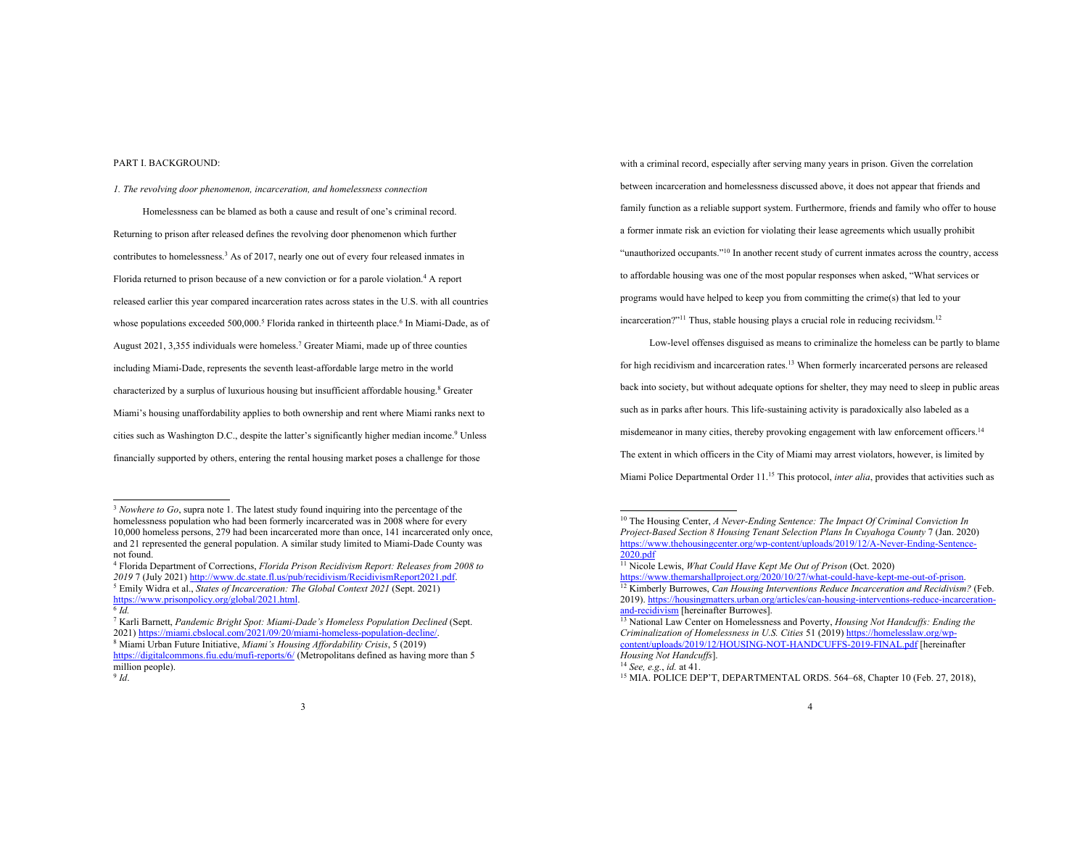# PART I. BACKGROUND:

*1. The revolving door phenomenon, incarceration, and homelessness connection*

Homelessness can be blamed as both a cause and result of one's criminal record. Returning to prison after released defines the revolving door phenomenon which further contributes to homelessness.3 As of 2017, nearly one out of every four released inmates in Florida returned to prison because of a new conviction or for a parole violation. <sup>4</sup> A report released earlier this year compared incarceration rates across states in the U.S. with all countries whose populations exceeded  $500,000$ .<sup>5</sup> Florida ranked in thirteenth place.<sup>6</sup> In Miami-Dade, as of August 2021, 3,355 individuals were homeless. <sup>7</sup> Greater Miami, made up of three counties including Miami-Dade, represents the seventh least-affordable large metro in the world characterized by a surplus of luxurious housing but insufficient affordable housing.8 Greater Miami's housing unaffordability applies to both ownership and rent where Miami ranks next to cities such as Washington D.C., despite the latter's significantly higher median income.9 Unless financially supported by others, entering the rental housing market poses a challenge for those

 Florida Department of Corrections, *Florida Prison Recidivism Report: Releases from 2008 to*  7 (July 2021) http://www.dc.state.fl.us/pub/recidivism/RecidivismReport2021.pdf. Emily Widra et al., *States of Incarceration: The Global Context 2021* (Sept. 2021) https://www.prisonpolicy.org/global/2021.html.

<sup>7</sup> Karli Barnett, *Pandemic Bright Spot: Miami-Dade's Homeless Population Declined* (Sept. 2021) https://miami.cbslocal.com/2021/09/20/miami-homeless-population-decline/. <sup>8</sup> Miami Urban Future Initiative, *Miami's Housing Affordability Crisis*, 5 (2019)

https://digitalcommons.fiu.edu/mufi-reports/6/ (Metropolitans defined as having more than 5 million people). <sup>9</sup> *Id*.

with a criminal record, especially after serving many years in prison. Given the correlation between incarceration and homelessness discussed above, it does not appear that friends and family function as a reliable support system. Furthermore, friends and family who offer to house a former inmate risk an eviction for violating their lease agreements which usually prohibit "unauthorized occupants."10 In another recent study of current inmates across the country, access to affordable housing was one of the most popular responses when asked, "What services or programs would have helped to keep you from committing the crime(s) that led to your incarceration?"<sup>11</sup> Thus, stable housing plays a crucial role in reducing recividsm.<sup>12</sup>

Low-level offenses disguised as means to criminalize the homeless can be partly to blame for high recidivism and incarceration rates.<sup>13</sup> When formerly incarcerated persons are released back into society, but without adequate options for shelter, they may need to sleep in public areas such as in parks after hours. This life-sustaining activity is paradoxically also labeled as a misdemeanor in many cities, thereby provoking engagement with law enforcement officers.<sup>14</sup> The extent in which officers in the City of Miami may arrest violators, however, is limited by Miami Police Departmental Order 11. <sup>15</sup> This protocol, *inter alia*, provides that activities such as

<sup>&</sup>lt;sup>3</sup> *Nowhere to Go*, supra note 1. The latest study found inquiring into the percentage of the homelessness population who had been formerly incarcerated was in 2008 where for every 10,000 homeless persons, 279 had been incarcerated more than once, 141 incarcerated only once, and 21 represented the general population. A similar study limited to Miami-Dade County was not found.

 $6H$ 

<sup>10</sup> The Housing Center, *A Never-Ending Sentence: The Impact Of Criminal Conviction In Project-Based Section 8 Housing Tenant Selection Plans In Cuyahoga County* 7 (Jan. 2020) https://www.thehousingcenter.org/wp-content/uploads/2019/12/A-Never-Ending-Sentence- $2020$  pdf

<sup>&</sup>lt;sup>11</sup> Nicole Lewis, *What Could Have Kept Me Out of Prison* (Oct. 2020)

https://www.themarshallproject.org/2020/10/27/what-could-have-kept-me-out-of-priso <sup>12</sup> Kimberly Burrowes, *Can Housing Interventions Reduce Incarceration and Recidivism?* (Feb. 2019). https://housingmatters.urban.org/articles/can-housing-interventions-reduce-incarcerationand-recidivism [hereinafter Burrowes].

<sup>13</sup> National Law Center on Homelessness and Poverty, *Housing Not Handcuffs: Ending the Criminalization of Homelessness in U.S. Cities* 51 (2019) https://homelesslaw.org/wpcontent/uploads/2019/12/HOUSING-NOT-HANDCUFFS-2019-FINAL.pdf [hereinafter] *Housing Not Handcuffs*].

<sup>14</sup> *See, e.g.*, *id.* at 41.

<sup>&</sup>lt;sup>15</sup> MIA. POLICE DEP'T, DEPARTMENTAL ORDS. 564-68, Chapter 10 (Feb. 27, 2018),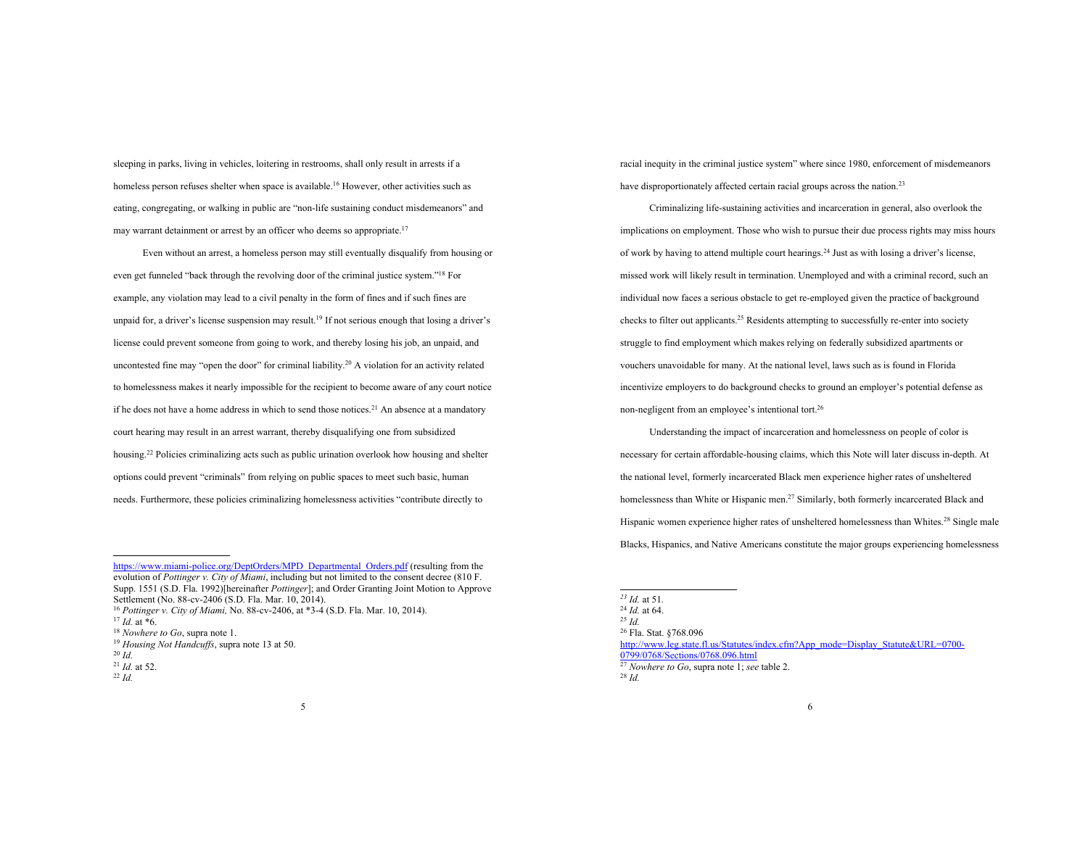sleeping in parks, living in vehicles, loitering in restrooms, shall only result in arrests if a homeless person refuses shelter when space is available.<sup>16</sup> However, other activities such as eating, congregating, or walking in public are "non-life sustaining conduct misdemeanors" and may warrant detainment or arrest by an officer who deems so appropriate.<sup>17</sup>

Even without an arrest, a homeless person may still eventually disqualify from housing or even get funneled "back through the revolving door of the criminal justice system."18 For example, any violation may lead to a civil penalty in the form of fines and if such fines are unpaid for, a driver's license suspension may result. <sup>19</sup> If not serious enough that losing a driver's license could prevent someone from going to work, and thereby losing his job, an unpaid, and uncontested fine may "open the door" for criminal liability.20 A violation for an activity related to homelessness makes it nearly impossible for the recipient to become aware of any court notice if he does not have a home address in which to send those notices.<sup>21</sup> An absence at a mandatory court hearing may result in an arrest warrant, thereby disqualifying one from subsidized housing.<sup>22</sup> Policies criminalizing acts such as public urination overlook how housing and shelter options could prevent "criminals" from relying on public spaces to meet such basic, human needs. Furthermore, these policies criminalizing homelessness activities "contribute directly to

https://www.miami-police.org/DeptOrders/MPD\_Departmental\_Orders.pdf (resulting from the evolution of *Pottinger v. City of Miami*, including but not limited to the consent decree (810 F. Supp. 1551 (S.D. Fla. 1992)[hereinafter *Pottinger*]; and Order Granting Joint Motion to Approve Settlement (No. 88-cv-2406 (S.D. Fla. Mar. 10, 2014).

<sup>16</sup> *Pottinger v. City of Miami,* No. 88-cv-2406, at \*3-4 (S.D. Fla. Mar. 10, 2014).

<sup>22</sup> *Id.*

racial inequity in the criminal justice system" where since 1980, enforcement of misdemeanors have disproportionately affected certain racial groups across the nation.<sup>23</sup>

Criminalizing life-sustaining activities and incarceration in general, also overlook the implications on employment. Those who wish to pursue their due process rights may miss hours of work by having to attend multiple court hearings. <sup>24</sup> Just as with losing a driver's license, missed work will likely result in termination. Unemployed and with a criminal record, such an individual now faces a serious obstacle to get re-employed given the practice of background checks to filter out applicants.<sup>25</sup> Residents attempting to successfully re-enter into society struggle to find employment which makes relying on federally subsidized apartments or vouchers unavoidable for many. At the national level, laws such as is found in Florida incentivize employers to do background checks to ground an employer's potential defense as non-negligent from an employee's intentional tort. 26

Understanding the impact of incarceration and homelessness on people of color is necessary for certain affordable-housing claims, which this Note will later discuss in-depth. At the national level, formerly incarcerated Black men experience higher rates of unsheltered homelessness than White or Hispanic men.<sup>27</sup> Similarly, both formerly incarcerated Black and Hispanic women experience higher rates of unsheltered homelessness than Whites.<sup>28</sup> Single male Blacks, Hispanics, and Native Americans constitute the major groups experiencing homelessness

<sup>27</sup> *Nowhere to Go*, supra note 1; *see* table 2.

<sup>28</sup> *Id.*

 $17$  *Id.* at  $*6$ .

<sup>18</sup> *Nowhere to Go*, supra note 1.

<sup>19</sup> *Housing Not Handcuffs*, supra note 13 at 50.

<sup>20</sup> *Id.*

<sup>21</sup> *Id.* at 52.

*<sup>23</sup> Id.* at 51*.*

<sup>24</sup> *Id.* at 64. 25 *Id.*

<sup>26</sup> Fla. Stat. §768.096

http://www.leg.state.fl.us/Statutes/index.cfm?App\_mode=Display\_Statute&URL=0700-0799/0768/Sections/0768.096.html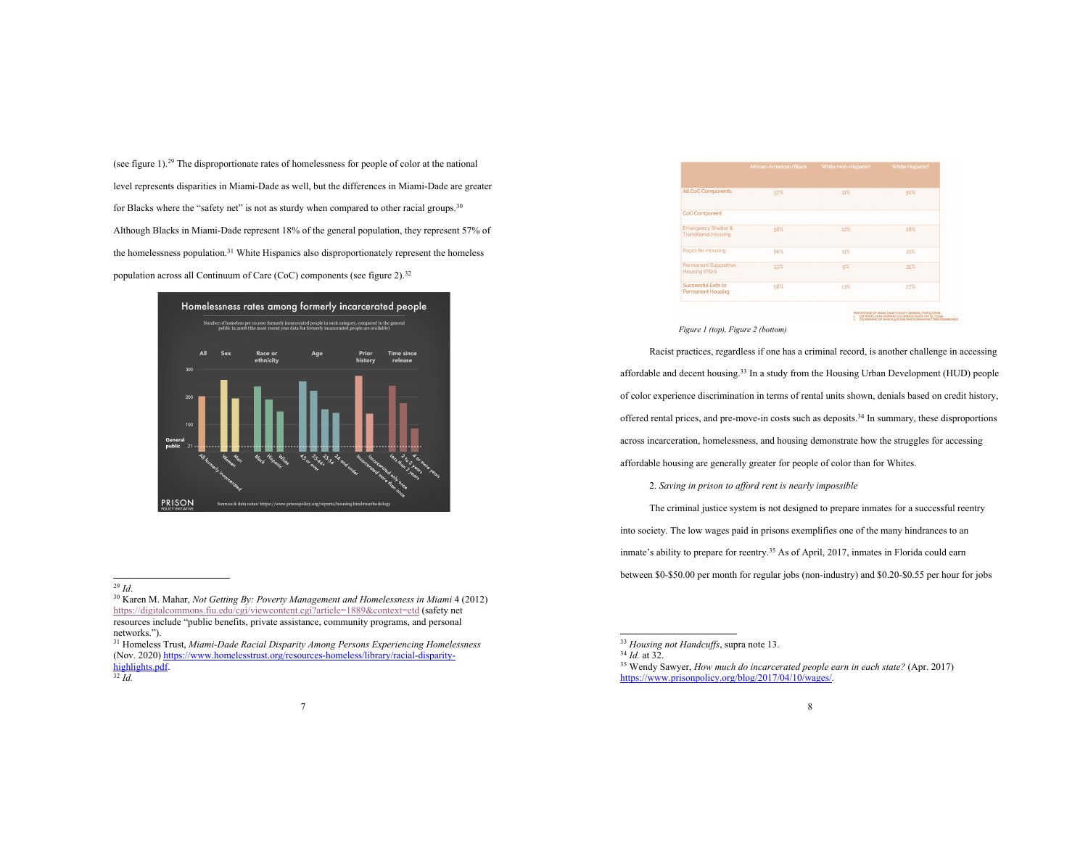(see figure 1). <sup>29</sup> The disproportionate rates of homelessness for people of color at the national level represents disparities in Miami-Dade as well, but the differences in Miami-Dade are greater for Blacks where the "safety net" is not as sturdy when compared to other racial groups.<sup>30</sup> Although Blacks in Miami-Dade represent 18% of the general population, they represent 57% of the homelessness population.31 White Hispanics also disproportionately represent the homeless population across all Continuum of Care (CoC) components (see figure 2). $32$ 



<sup>30</sup> Karen M. Mahar, *Not Getting By: Poverty Management and Homelessness in Miami* 4 (2012) https://digitalcommons.fiu.edu/cgi/viewcontent.cgi?article=1889&context=etd (safety net resources include "public benefits, private assistance, community programs, and personal networks.").

<sup>31</sup> Homeless Trust, *Miami-Dade Racial Disparity Among Persons Experiencing Homelessness*  (Nov. 2020) https://www.homelesstrust.org/resources-homeless/library/racial-disparityhighlights.pdf.

<sup>32</sup> *Id.*



#### *Figure 1 (top), Figure 2 (bottom)*

Racist practices, regardless if one has a criminal record, is another challenge in accessing affordable and decent housing.33 In a study from the Housing Urban Development (HUD) people of color experience discrimination in terms of rental units shown, denials based on credit history, offered rental prices, and pre-move-in costs such as deposits. <sup>34</sup> In summary, these disproportions across incarceration, homelessness, and housing demonstrate how the struggles for accessing affordable housing are generally greater for people of color than for Whites.

2. *Saving in prison to afford rent is nearly impossible*

The criminal justice system is not designed to prepare inmates for a successful reentry into society. The low wages paid in prisons exemplifies one of the many hindrances to an inmate's ability to prepare for reentry.<sup>35</sup> As of April, 2017, inmates in Florida could earn between \$0-\$50.00 per month for regular jobs (non-industry) and \$0.20-\$0.55 per hour for jobs

<sup>29</sup> *Id*.

<sup>&</sup>lt;sup>33</sup> *Housing not Handcuffs*, supra note 13.<br><sup>34</sup> *Id.* at 32.

<sup>&</sup>lt;sup>35</sup> Wendy Sawyer, *How much do incarcerated people earn in each state?* (Apr. 2017) https://www.prisonpolicy.org/blog/2017/04/10/wages/.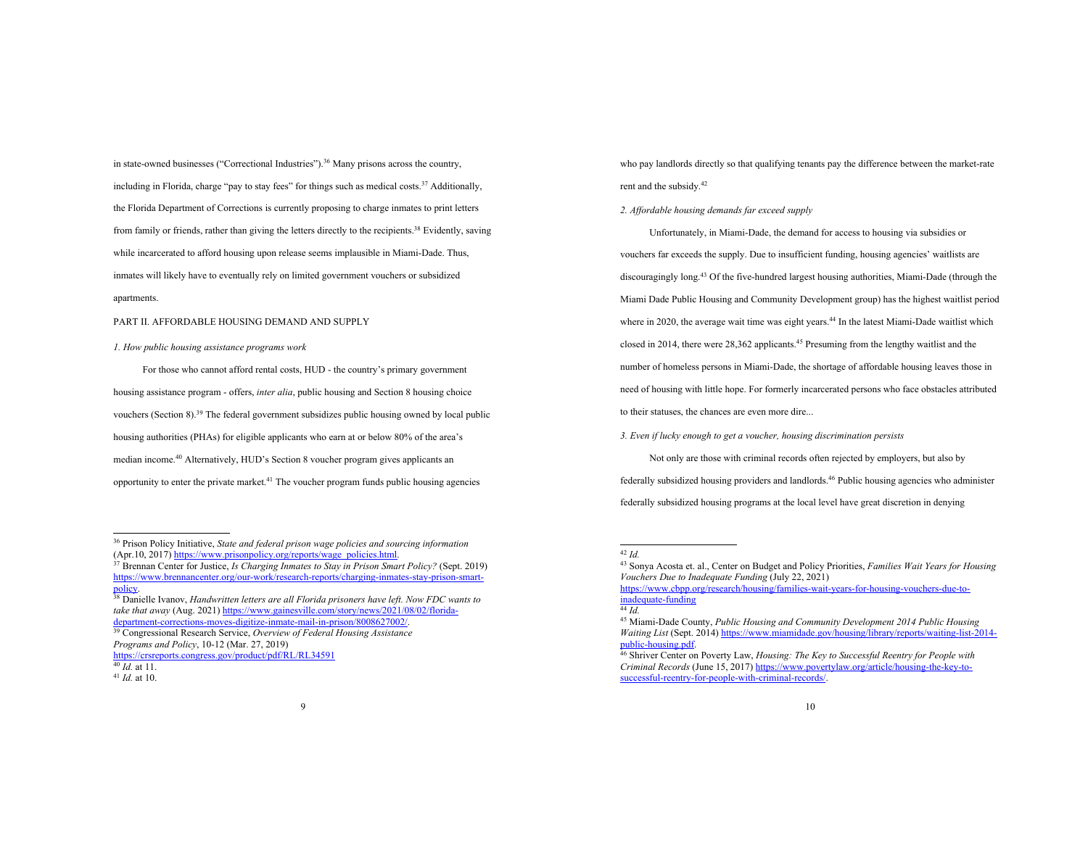in state-owned businesses ("Correctional Industries"). <sup>36</sup> Many prisons across the country, including in Florida, charge "pay to stay fees" for things such as medical costs.37 Additionally, the Florida Department of Corrections is currently proposing to charge inmates to print letters from family or friends, rather than giving the letters directly to the recipients.<sup>38</sup> Evidently, saving while incarcerated to afford housing upon release seems implausible in Miami-Dade. Thus, inmates will likely have to eventually rely on limited government vouchers or subsidized apartments.

### PART II. AFFORDABLE HOUSING DEMAND AND SUPPLY

### *1. How public housing assistance programs work*

For those who cannot afford rental costs, HUD - the country's primary government housing assistance program - offers, *inter alia*, public housing and Section 8 housing choice vouchers (Section 8).<sup>39</sup> The federal government subsidizes public housing owned by local public housing authorities (PHAs) for eligible applicants who earn at or below 80% of the area's median income. <sup>40</sup> Alternatively, HUD's Section 8 voucher program gives applicants an opportunity to enter the private market.<sup>41</sup> The voucher program funds public housing agencies

policy. 38 Danielle Ivanov, *Handwritten letters are all Florida prisoners have left. Now FDC wants to take that away* (Aug. 2021) https://www.gainesville.com/story/news/2021/08/02/floridadepartment-corrections-moves-digitize-inmate-mail-in-prison/8008627002/.

<sup>39</sup> Congressional Research Service, *Overview of Federal Housing Assistance Programs and Policy*, 10-12 (Mar. 27, 2019)

who pay landlords directly so that qualifying tenants pay the difference between the market-rate rent and the subsidy.<sup>42</sup>

# *2. Affordable housing demands far exceed supply*

Unfortunately, in Miami-Dade, the demand for access to housing via subsidies or vouchers far exceeds the supply. Due to insufficient funding, housing agencies' waitlists are discouragingly long. <sup>43</sup> Of the five-hundred largest housing authorities, Miami-Dade (through the Miami Dade Public Housing and Community Development group) has the highest waitlist period where in 2020, the average wait time was eight years.<sup>44</sup> In the latest Miami-Dade waitlist which closed in 2014, there were 28,362 applicants.<sup>45</sup> Presuming from the lengthy waitlist and the number of homeless persons in Miami-Dade, the shortage of affordable housing leaves those in need of housing with little hope. For formerly incarcerated persons who face obstacles attributed to their statuses, the chances are even more dire...

*3. Even if lucky enough to get a voucher, housing discrimination persists*

Not only are those with criminal records often rejected by employers, but also by federally subsidized housing providers and landlords. <sup>46</sup> Public housing agencies who administer federally subsidized housing programs at the local level have great discretion in denying

https://www.cbpp.org/research/housing/families-wait-years-for-housing-vouchers-due-toinadequate-funding

<sup>36</sup> Prison Policy Initiative, *State and federal prison wage policies and sourcing information* (Apr.10, 2017) https://www.prisonpolicy.org/reports/wage\_policies.html.

<sup>&</sup>lt;sup>37</sup> Brennan Center for Justice, *Is Charging Inmates to Stay in Prison Smart Policy?* (Sept. 2019) https://www.brennancenter.org/our-work/research-reports/charging-inmates-stay-prison-smart-

https://crsreports.congress.gov/product/pdf/RL/RL34591

<sup>40</sup> *Id.* at 11.

<sup>41</sup> *Id.* at 10.

<sup>42</sup> *Id.*

<sup>43</sup> Sonya Acosta et. al., Center on Budget and Policy Priorities, *Families Wait Years for Housing Vouchers Due to Inadequate Funding* (July 22, 2021)

 $\frac{1}{44}$  *Id.* 

<sup>45</sup> Miami-Dade County, *Public Housing and Community Development 2014 Public Housing Waiting List* (Sept. 2014) https://www.miamidade.gov/housing/library/reports/waiting-list-2014-

<sup>&</sup>lt;sup>46</sup> Shriver Center on Poverty Law, *Housing: The Key to Successful Reentry for People with Criminal Records* (June 15, 2017) https://www.povertylaw.org/article/housing-the-key-tosuccessful-reentry-for-people-with-criminal-records/.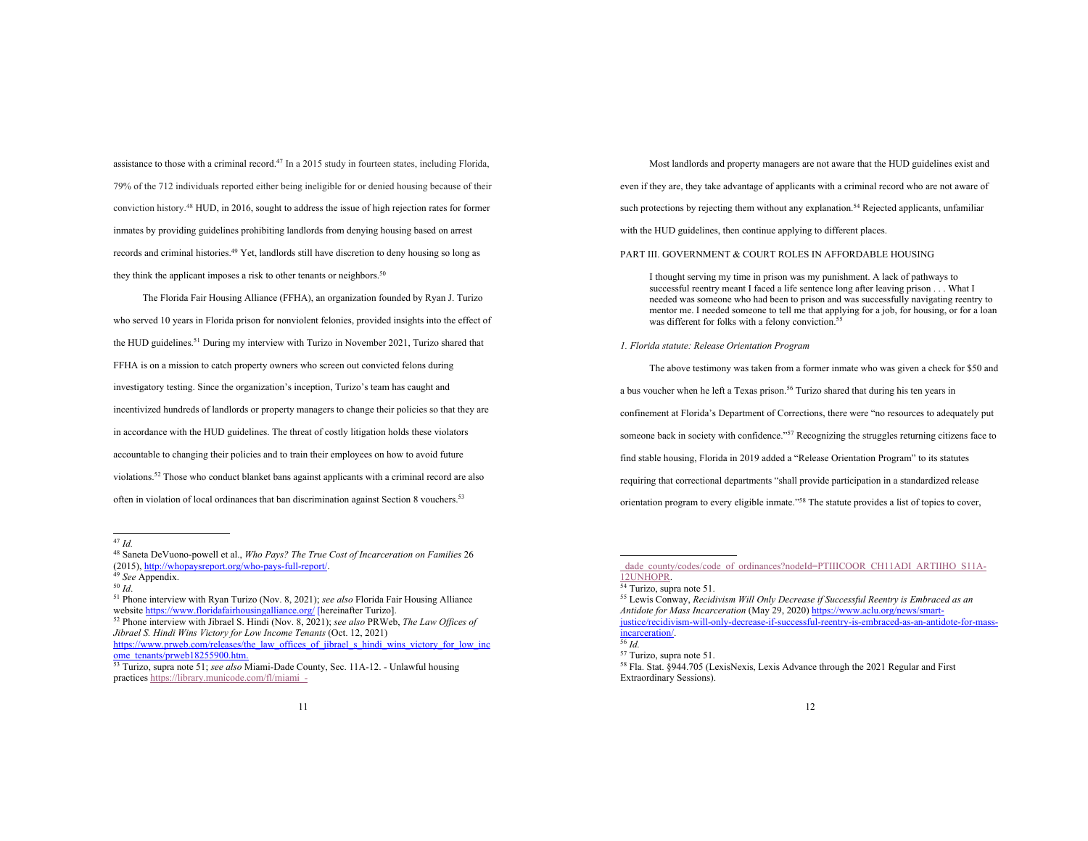assistance to those with a criminal record.<sup>47</sup> In a 2015 study in fourteen states, including Florida, 79% of the 712 individuals reported either being ineligible for or denied housing because of their conviction history.48 HUD, in 2016, sought to address the issue of high rejection rates for former inmates by providing guidelines prohibiting landlords from denying housing based on arrest records and criminal histories. <sup>49</sup> Yet, landlords still have discretion to deny housing so long as they think the applicant imposes a risk to other tenants or neighbors.<sup>50</sup>

The Florida Fair Housing Alliance (FFHA), an organization founded by Ryan J. Turizo who served 10 years in Florida prison for nonviolent felonies, provided insights into the effect of the HUD guidelines.<sup>51</sup> During my interview with Turizo in November 2021, Turizo shared that FFHA is on a mission to catch property owners who screen out convicted felons during investigatory testing. Since the organization's inception, Turizo's team has caught and incentivized hundreds of landlords or property managers to change their policies so that they are in accordance with the HUD guidelines. The threat of costly litigation holds these violators accountable to changing their policies and to train their employees on how to avoid future violations.<sup>52</sup> Those who conduct blanket bans against applicants with a criminal record are also often in violation of local ordinances that ban discrimination against Section 8 vouchers. 53

https://www.prweb.com/releases/the\_law\_offices\_of\_jibrael\_s\_hindi\_wins\_victory\_for\_low\_inc ome\_tenants/prweb18255900.htm.

Most landlords and property managers are not aware that the HUD guidelines exist and even if they are, they take advantage of applicants with a criminal record who are not aware of such protections by rejecting them without any explanation.<sup>54</sup> Rejected applicants, unfamiliar with the HUD guidelines, then continue applying to different places.

PART III. GOVERNMENT & COURT ROLES IN AFFORDABLE HOUSING

I thought serving my time in prison was my punishment. A lack of pathways to successful reentry meant I faced a life sentence long after leaving prison . . . What I needed was someone who had been to prison and was successfully navigating reentry to mentor me. I needed someone to tell me that applying for a job, for housing, or for a loan was different for folks with a felony conviction.<sup>5</sup>

## *1. Florida statute: Release Orientation Program*

The above testimony was taken from a former inmate who was given a check for \$50 and a bus voucher when he left a Texas prison.<sup>56</sup> Turizo shared that during his ten years in confinement at Florida's Department of Corrections, there were "no resources to adequately put someone back in society with confidence."<sup>57</sup> Recognizing the struggles returning citizens face to find stable housing, Florida in 2019 added a "Release Orientation Program" to its statutes requiring that correctional departments "shall provide participation in a standardized release orientation program to every eligible inmate."58 The statute provides a list of topics to cover,

<sup>47</sup> *Id.*

<sup>48</sup> Saneta DeVuono-powell et al., *Who Pays? The True Cost of Incarceration on Families* 26 (2015), http://whopaysreport.org/who-pays-full-report/.<br><sup>49</sup> *See* Appendix.<br><sup>50</sup> *Id*.<br><sup>51</sup> Phone interview with Ryan Turizo (Nov. 8, 2021); *see also* Florida Fair Housing Alliance

website https://www.floridafairhousingalliance.org/ [hereinafter Turizo].

<sup>52</sup> Phone interview with Jibrael S. Hindi (Nov. 8, 2021); *see also* PRWeb, *The Law Offices of Jibrael S. Hindi Wins Victory for Low Income Tenants* (Oct. 12, 2021)

<sup>53</sup> Turizo, supra note 51; *see also* Miami-Dade County, Sec. 11A-12. - Unlawful housing practices https://library.municode.com/fl/miami\_-

dade\_county/codes/code\_of\_ordinances?nodeId=PTIIICOOR\_CH11ADI\_ARTIIHO\_S11A-12UNHOPR.

<sup>&</sup>lt;sup>54</sup> Turizo, supra note 51.

<sup>55</sup> Lewis Conway, *Recidivism Will Only Decrease if Successful Reentry is Embraced as an Antidote for Mass Incarceration* (May 29, 2020) https://www.aclu.org/news/smartjustice/recidivism-will-only-decrease-if-successful-reentry-is-embraced-as-an-antidote-for-massincarceration/.

<sup>56</sup> *Id.*

<sup>57</sup> Turizo, supra note 51.

<sup>58</sup> Fla. Stat. §944.705 (LexisNexis, Lexis Advance through the 2021 Regular and First Extraordinary Sessions).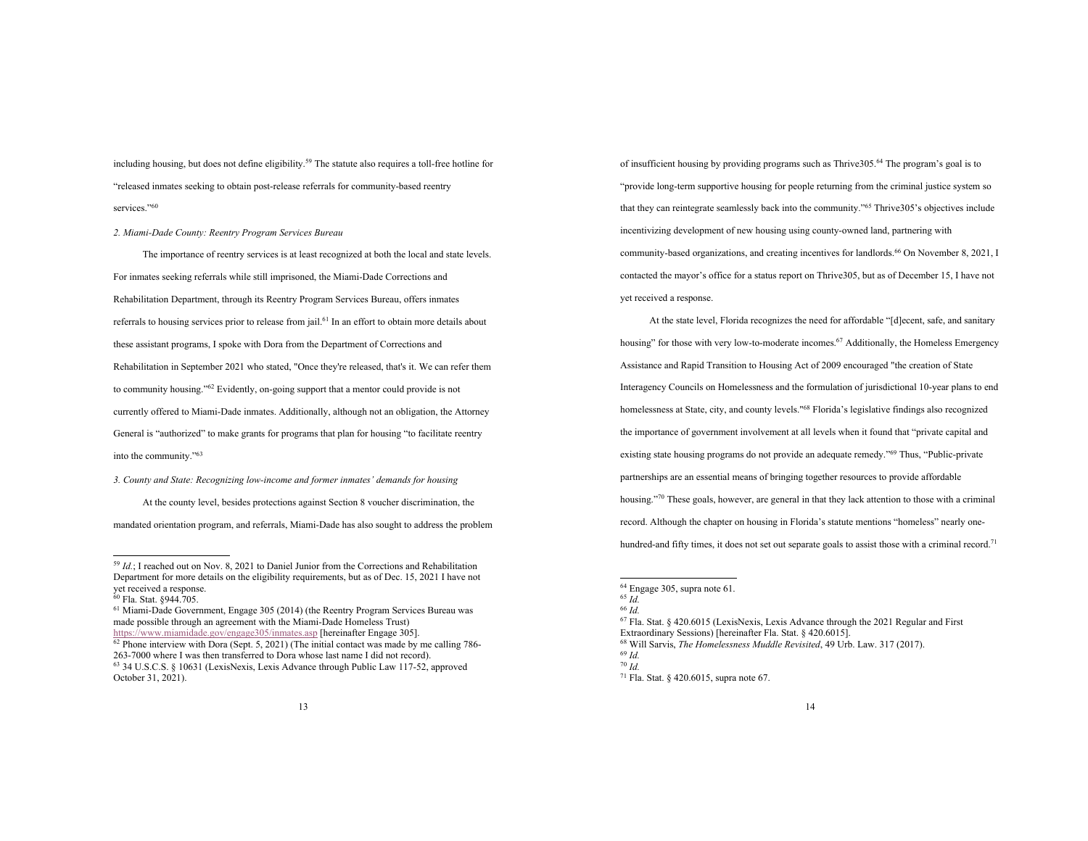including housing, but does not define eligibility.59 The statute also requires a toll-free hotline for "released inmates seeking to obtain post-release referrals for community-based reentry services."60

## *2. Miami-Dade County: Reentry Program Services Bureau*

The importance of reentry services is at least recognized at both the local and state levels. For inmates seeking referrals while still imprisoned, the Miami-Dade Corrections and Rehabilitation Department, through its Reentry Program Services Bureau, offers inmates referrals to housing services prior to release from jail.61 In an effort to obtain more details about these assistant programs, I spoke with Dora from the Department of Corrections and Rehabilitation in September 2021 who stated, "Once they're released, that's it. We can refer them to community housing."62 Evidently, on-going support that a mentor could provide is not currently offered to Miami-Dade inmates. Additionally, although not an obligation, the Attorney General is "authorized" to make grants for programs that plan for housing "to facilitate reentry into the community."63

*3. County and State: Recognizing low-income and former inmates' demands for housing* 

At the county level, besides protections against Section 8 voucher discrimination, the mandated orientation program, and referrals, Miami-Dade has also sought to address the problem

of insufficient housing by providing programs such as Thrive305.64 The program's goal is to "provide long-term supportive housing for people returning from the criminal justice system so that they can reintegrate seamlessly back into the community."<sup>65</sup> Thrive305's objectives include incentivizing development of new housing using county-owned land, partnering with community-based organizations, and creating incentives for landlords. <sup>66</sup> On November 8, 2021, I contacted the mayor's office for a status report on Thrive305, but as of December 15, I have not yet received a response.

At the state level, Florida recognizes the need for affordable "[d]ecent, safe, and sanitary housing" for those with very low-to-moderate incomes.<sup>67</sup> Additionally, the Homeless Emergency Assistance and Rapid Transition to Housing Act of 2009 encouraged "the creation of State Interagency Councils on Homelessness and the formulation of jurisdictional 10-year plans to end homelessness at State, city, and county levels."<sup>68</sup> Florida's legislative findings also recognized the importance of government involvement at all levels when it found that "private capital and existing state housing programs do not provide an adequate remedy."69 Thus, "Public-private partnerships are an essential means of bringing together resources to provide affordable housing."<sup>70</sup> These goals, however, are general in that they lack attention to those with a criminal record. Although the chapter on housing in Florida's statute mentions "homeless" nearly onehundred-and fifty times, it does not set out separate goals to assist those with a criminal record.<sup>71</sup>

<sup>59</sup> *Id.*; I reached out on Nov. 8, 2021 to Daniel Junior from the Corrections and Rehabilitation Department for more details on the eligibility requirements, but as of Dec. 15, 2021 I have not yet received a response.

<sup>60</sup> Fla. Stat. §944.705.

<sup>61</sup> Miami-Dade Government, Engage 305 (2014) (the Reentry Program Services Bureau was made possible through an agreement with the Miami-Dade Homeless Trust) https://www.miamidade.gov/engage305/inmates.asp [hereinafter Engage 305].

 $\frac{62}{2}$  Phone interview with Dora (Sept. 5, 2021) (The initial contact was made by me calling 786-263-7000 where I was then transferred to Dora whose last name I did not record). <sup>63</sup> 34 U.S.C.S. § 10631 (LexisNexis, Lexis Advance through Public Law 117-52, approved October 31, 2021).

<sup>64</sup> Engage 305, supra note 61.

<sup>65</sup> *Id.*

<sup>66</sup> *Id.*

<sup>67</sup> Fla. Stat. § 420.6015 (LexisNexis, Lexis Advance through the 2021 Regular and First Extraordinary Sessions) [hereinafter Fla. Stat. § 420.6015].

<sup>68</sup> Will Sarvis, *The Homelessness Muddle Revisited*, 49 Urb. Law. 317 (2017).

<sup>69</sup> *Id.*

<sup>70</sup> *Id.*

<sup>71</sup> Fla. Stat. § 420.6015, supra note 67.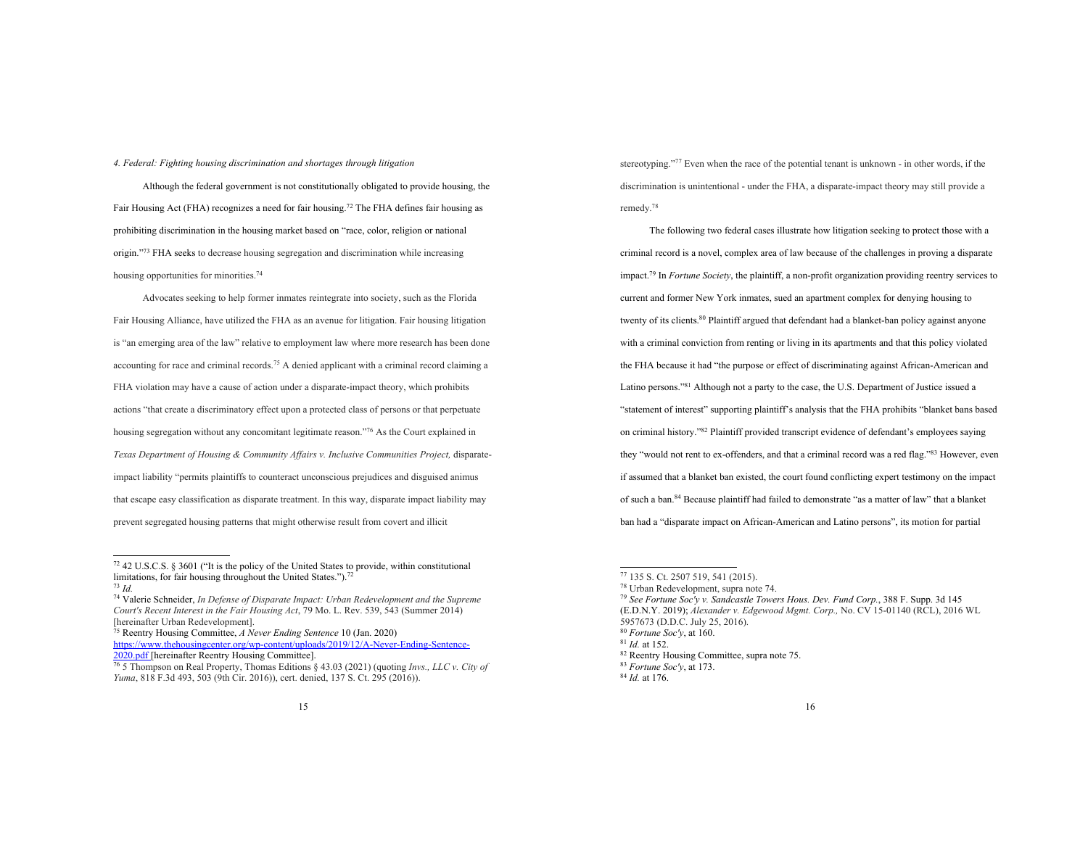## *4. Federal: Fighting housing discrimination and shortages through litigation*

Although the federal government is not constitutionally obligated to provide housing, the Fair Housing Act (FHA) recognizes a need for fair housing.<sup>72</sup> The FHA defines fair housing as prohibiting discrimination in the housing market based on "race, color, religion or national origin."73 FHA seeks to decrease housing segregation and discrimination while increasing housing opportunities for minorities.<sup>74</sup>

Advocates seeking to help former inmates reintegrate into society, such as the Florida Fair Housing Alliance, have utilized the FHA as an avenue for litigation. Fair housing litigation is "an emerging area of the law" relative to employment law where more research has been done accounting for race and criminal records.75 A denied applicant with a criminal record claiming a FHA violation may have a cause of action under a disparate-impact theory, which prohibits actions "that create a discriminatory effect upon a protected class of persons or that perpetuate housing segregation without any concomitant legitimate reason."76 As the Court explained in *Texas Department of Housing & Community Affairs v. Inclusive Communities Project,* disparateimpact liability "permits plaintiffs to counteract unconscious prejudices and disguised animus that escape easy classification as disparate treatment. In this way, disparate impact liability may prevent segregated housing patterns that might otherwise result from covert and illicit

<sup>75</sup> Reentry Housing Committee, *A Never Ending Sentence* 10 (Jan. 2020) https://www.thehousingcenter.org/wp-content/uploads/2019/12/A-Never-Ending-Sentence-2020.pdf [hereinafter Reentry Housing Committee].

stereotyping."<sup>77</sup> Even when the race of the potential tenant is unknown - in other words, if the discrimination is unintentional - under the FHA, a disparate-impact theory may still provide a remedy.78

The following two federal cases illustrate how litigation seeking to protect those with a criminal record is a novel, complex area of law because of the challenges in proving a disparate impact.79 In *Fortune Society*, the plaintiff, a non-profit organization providing reentry services to current and former New York inmates, sued an apartment complex for denying housing to twenty of its clients.<sup>80</sup> Plaintiff argued that defendant had a blanket-ban policy against anyone with a criminal conviction from renting or living in its apartments and that this policy violated the FHA because it had "the purpose or effect of discriminating against African-American and Latino persons."<sup>81</sup> Although not a party to the case, the U.S. Department of Justice issued a "statement of interest" supporting plaintiff's analysis that the FHA prohibits "blanket bans based on criminal history."82 Plaintiff provided transcript evidence of defendant's employees saying they "would not rent to ex-offenders, and that a criminal record was a red flag."83 However, even if assumed that a blanket ban existed, the court found conflicting expert testimony on the impact of such a ban.84 Because plaintiff had failed to demonstrate "as a matter of law" that a blanket ban had a "disparate impact on African-American and Latino persons", its motion for partial

 $72$  42 U.S.C.S. § 3601 ("It is the policy of the United States to provide, within constitutional limitations, for fair housing throughout the United States.").72 <sup>73</sup> *Id.*

<sup>74</sup> Valerie Schneider, *In Defense of Disparate Impact: Urban Redevelopment and the Supreme Court's Recent Interest in the Fair Housing Act*, 79 Mo. L. Rev. 539, 543 (Summer 2014) [hereinafter Urban Redevelopment].

<sup>76</sup> 5 Thompson on Real Property, Thomas Editions § 43.03 (2021) (quoting *Invs., LLC v. City of Yuma*, 818 F.3d 493, 503 (9th Cir. 2016)), cert. denied, 137 S. Ct. 295 (2016)).

<sup>77</sup> 135 S. Ct. 2507 519, 541 (2015).

<sup>78</sup> Urban Redevelopment, supra note 74.

<sup>79</sup> *See Fortune Soc'y v. Sandcastle Towers Hous. Dev. Fund Corp.*, 388 F. Supp. 3d 145 (E.D.N.Y. 2019); *Alexander v. Edgewood Mgmt. Corp.,* No. CV 15-01140 (RCL), 2016 WL 5957673 (D.D.C. July 25, 2016).

<sup>80</sup> *Fortune Soc'y*, at 160.

<sup>81</sup> *Id.* at 152.

<sup>82</sup> Reentry Housing Committee, supra note 75.

<sup>83</sup> *Fortune Soc'y*, at 173.

<sup>84</sup> *Id.* at 176.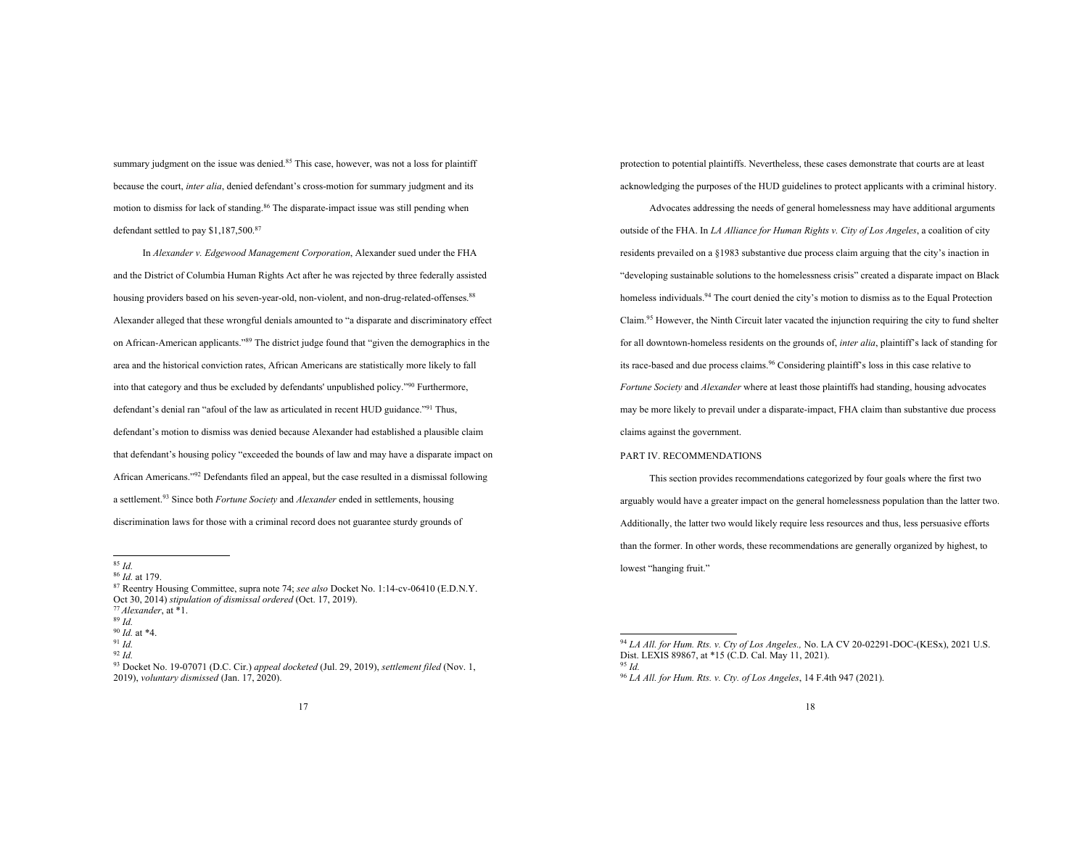summary judgment on the issue was denied.<sup>85</sup> This case, however, was not a loss for plaintiff because the court, *inter alia*, denied defendant's cross-motion for summary judgment and its motion to dismiss for lack of standing. <sup>86</sup> The disparate-impact issue was still pending when defendant settled to pay \$1,187,500. 87

In *Alexander v. Edgewood Management Corporation*, Alexander sued under the FHA and the District of Columbia Human Rights Act after he was rejected by three federally assisted housing providers based on his seven-year-old, non-violent, and non-drug-related-offenses.<sup>88</sup> Alexander alleged that these wrongful denials amounted to "a disparate and discriminatory effect on African-American applicants."89 The district judge found that "given the demographics in the area and the historical conviction rates, African Americans are statistically more likely to fall into that category and thus be excluded by defendants' unpublished policy."90 Furthermore, defendant's denial ran "afoul of the law as articulated in recent HUD guidance."91 Thus, defendant's motion to dismiss was denied because Alexander had established a plausible claim that defendant's housing policy "exceeded the bounds of law and may have a disparate impact on African Americans."92 Defendants filed an appeal, but the case resulted in a dismissal following a settlement. <sup>93</sup> Since both *Fortune Society* and *Alexander* ended in settlements, housing discrimination laws for those with a criminal record does not guarantee sturdy grounds of

<sup>87</sup> Reentry Housing Committee, supra note 74; *see also* Docket No. 1:14-cv-06410 (E.D.N.Y. Oct 30, 2014) *stipulation of dismissal ordered* (Oct. 17, 2019). <sup>77</sup> *Alexander*, at \*1.

<sup>89</sup> *Id.*

<sup>90</sup> *Id.* at \*4. 91 *Id.*

protection to potential plaintiffs. Nevertheless, these cases demonstrate that courts are at least acknowledging the purposes of the HUD guidelines to protect applicants with a criminal history.

Advocates addressing the needs of general homelessness may have additional arguments outside of the FHA. In *LA Alliance for Human Rights v. City of Los Angeles*, a coalition of city residents prevailed on a §1983 substantive due process claim arguing that the city's inaction in "developing sustainable solutions to the homelessness crisis" created a disparate impact on Black homeless individuals.<sup>94</sup> The court denied the city's motion to dismiss as to the Equal Protection Claim.95 However, the Ninth Circuit later vacated the injunction requiring the city to fund shelter for all downtown-homeless residents on the grounds of, *inter alia*, plaintiff's lack of standing for its race-based and due process claims.<sup>96</sup> Considering plaintiff's loss in this case relative to *Fortune Society* and *Alexander* where at least those plaintiffs had standing, housing advocates may be more likely to prevail under a disparate-impact, FHA claim than substantive due process claims against the government.

## PART IV. RECOMMENDATIONS

This section provides recommendations categorized by four goals where the first two arguably would have a greater impact on the general homelessness population than the latter two. Additionally, the latter two would likely require less resources and thus, less persuasive efforts than the former. In other words, these recommendations are generally organized by highest, to lowest "hanging fruit."

<sup>85</sup> *Id.* 

<sup>86</sup> *Id.* at 179.

<sup>92</sup> *Id.*

<sup>93</sup> Docket No. 19-07071 (D.C. Cir.) *appeal docketed* (Jul. 29, 2019), *settlement filed* (Nov. 1, 2019), *voluntary dismissed* (Jan. 17, 2020).

<sup>94</sup> *LA All. for Hum. Rts. v. Cty of Los Angeles.,* No. LA CV 20-02291-DOC-(KESx), 2021 U.S. Dist. LEXIS 89867, at \*15 (C.D. Cal. May 11, 2021). <sup>95</sup> *Id.*

<sup>96</sup> *LA All. for Hum. Rts. v. Cty. of Los Angeles*, 14 F.4th 947 (2021).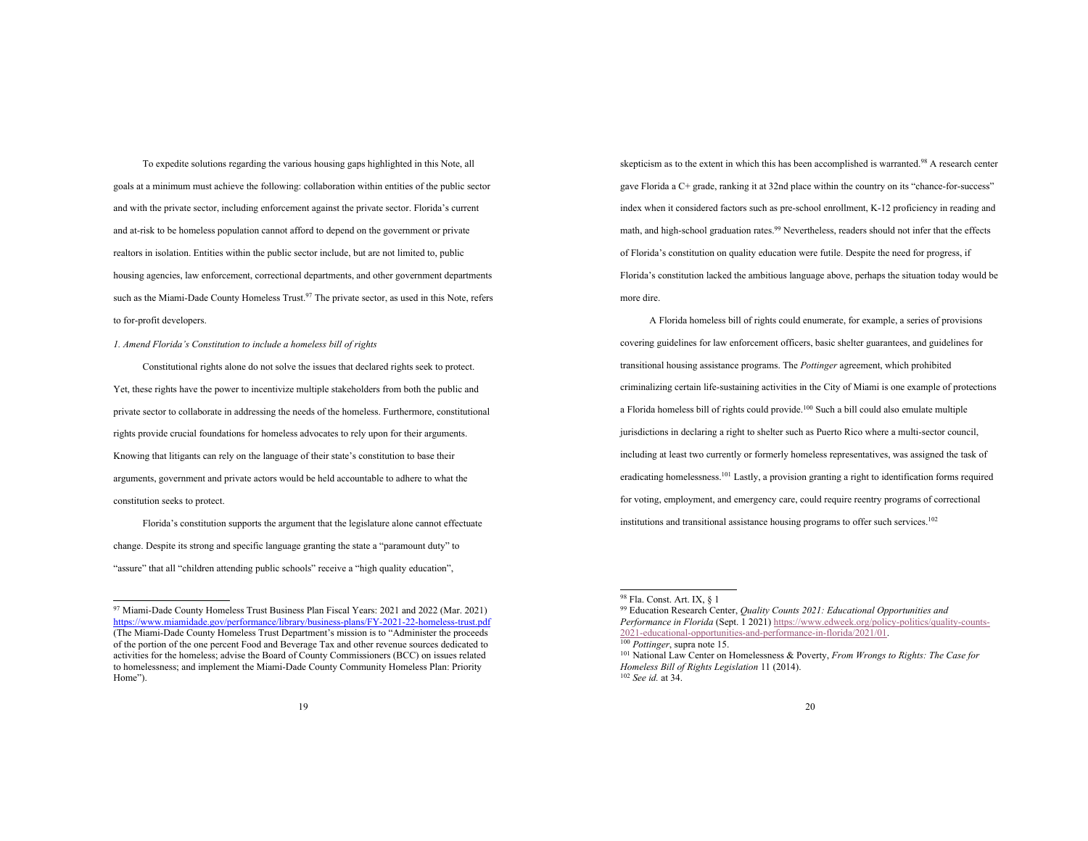To expedite solutions regarding the various housing gaps highlighted in this Note, all goals at a minimum must achieve the following: collaboration within entities of the public sector and with the private sector, including enforcement against the private sector. Florida's current and at-risk to be homeless population cannot afford to depend on the government or private realtors in isolation. Entities within the public sector include, but are not limited to, public housing agencies, law enforcement, correctional departments, and other government departments such as the Miami-Dade County Homeless Trust.<sup>97</sup> The private sector, as used in this Note, refers to for-profit developers.

*1. Amend Florida's Constitution to include a homeless bill of rights*

Constitutional rights alone do not solve the issues that declared rights seek to protect. Yet, these rights have the power to incentivize multiple stakeholders from both the public and private sector to collaborate in addressing the needs of the homeless. Furthermore, constitutional rights provide crucial foundations for homeless advocates to rely upon for their arguments. Knowing that litigants can rely on the language of their state's constitution to base their arguments, government and private actors would be held accountable to adhere to what the constitution seeks to protect.

Florida's constitution supports the argument that the legislature alone cannot effectuate change. Despite its strong and specific language granting the state a "paramount duty" to "assure" that all "children attending public schools" receive a "high quality education",

skepticism as to the extent in which this has been accomplished is warranted.98 A research center gave Florida a C+ grade, ranking it at 32nd place within the country on its "chance-for-success" index when it considered factors such as pre-school enrollment, K-12 proficiency in reading and math, and high-school graduation rates. <sup>99</sup> Nevertheless, readers should not infer that the effects of Florida's constitution on quality education were futile. Despite the need for progress, if Florida's constitution lacked the ambitious language above, perhaps the situation today would be more dire.

A Florida homeless bill of rights could enumerate, for example, a series of provisions covering guidelines for law enforcement officers, basic shelter guarantees, and guidelines for transitional housing assistance programs. The *Pottinger* agreement, which prohibited criminalizing certain life-sustaining activities in the City of Miami is one example of protections a Florida homeless bill of rights could provide. <sup>100</sup> Such a bill could also emulate multiple jurisdictions in declaring a right to shelter such as Puerto Rico where a multi-sector council, including at least two currently or formerly homeless representatives, was assigned the task of eradicating homelessness.101 Lastly, a provision granting a right to identification forms required for voting, employment, and emergency care, could require reentry programs of correctional institutions and transitional assistance housing programs to offer such services.<sup>102</sup>

<sup>97</sup> Miami-Dade County Homeless Trust Business Plan Fiscal Years: 2021 and 2022 (Mar. 2021) https://www.miamidade.gov/performance/library/business-plans/FY-2021-22-homeless-trust.pdf (The Miami-Dade County Homeless Trust Department's mission is to "Administer the proceeds of the portion of the one percent Food and Beverage Tax and other revenue sources dedicated to activities for the homeless; advise the Board of County Commissioners (BCC) on issues related to homelessness; and implement the Miami-Dade County Community Homeless Plan: Priority Home").

<sup>98</sup> Fla. Const. Art. IX, § 1

<sup>99</sup> Education Research Center, *Quality Counts 2021: Educational Opportunities and Performance in Florida* (Sept. 1 2021) https://www.edweek.org/policy-politics/quality-counts-2021-educational-opportunities-and-performance-in-florida/2021/01.

<sup>100</sup> *Pottinger*, supra note 15.

<sup>101</sup> National Law Center on Homelessness & Poverty, *From Wrongs to Rights: The Case for Homeless Bill of Rights Legislation* 11 (2014). <sup>102</sup> *See id.* at 34.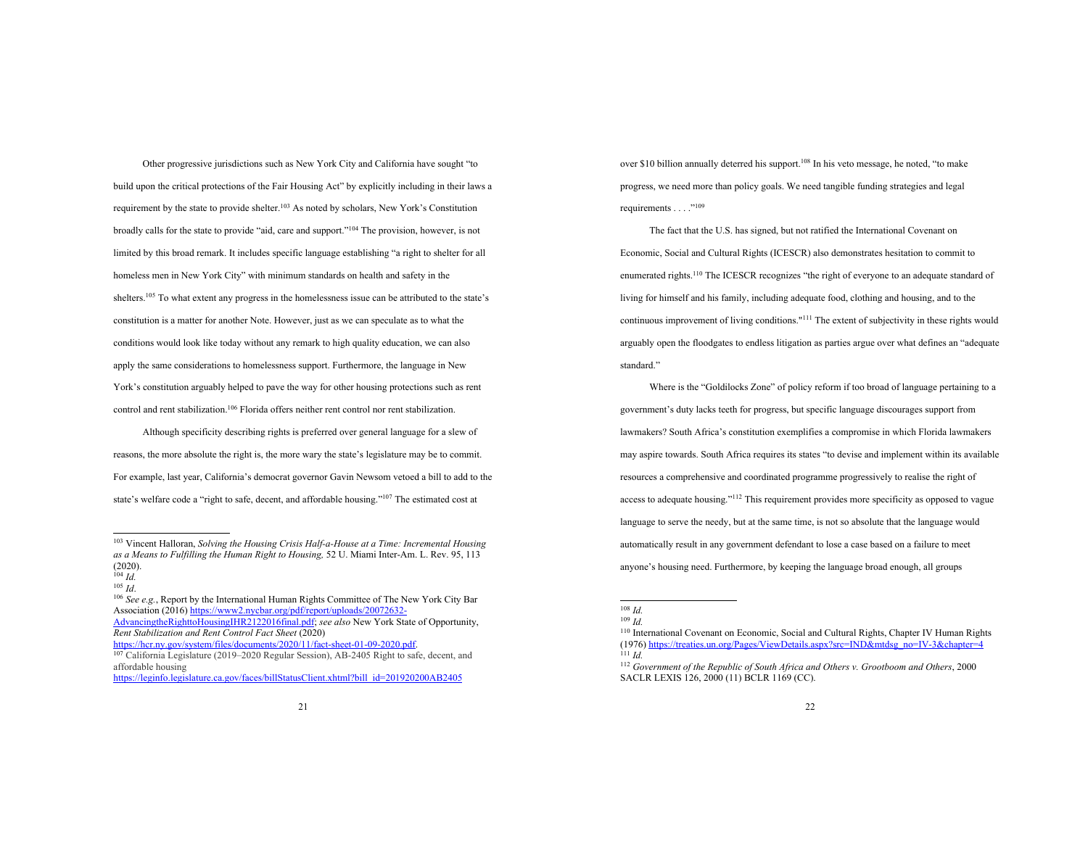Other progressive jurisdictions such as New York City and California have sought "to build upon the critical protections of the Fair Housing Act" by explicitly including in their laws a requirement by the state to provide shelter.103 As noted by scholars, New York's Constitution broadly calls for the state to provide "aid, care and support."104 The provision, however, is not limited by this broad remark. It includes specific language establishing "a right to shelter for all homeless men in New York City" with minimum standards on health and safety in the shelters.105 To what extent any progress in the homelessness issue can be attributed to the state's constitution is a matter for another Note. However, just as we can speculate as to what the conditions would look like today without any remark to high quality education, we can also apply the same considerations to homelessness support. Furthermore, the language in New York's constitution arguably helped to pave the way for other housing protections such as rent control and rent stabilization. <sup>106</sup> Florida offers neither rent control nor rent stabilization.

Although specificity describing rights is preferred over general language for a slew of reasons, the more absolute the right is, the more wary the state's legislature may be to commit. For example, last year, California's democrat governor Gavin Newsom vetoed a bill to add to the state's welfare code a "right to safe, decent, and affordable housing."107 The estimated cost at

over \$10 billion annually deterred his support.<sup>108</sup> In his veto message, he noted, "to make progress, we need more than policy goals. We need tangible funding strategies and legal requirements . . . . "<sup>109</sup>

The fact that the U.S. has signed, but not ratified the International Covenant on Economic, Social and Cultural Rights (ICESCR) also demonstrates hesitation to commit to enumerated rights.<sup>110</sup> The ICESCR recognizes "the right of everyone to an adequate standard of living for himself and his family, including adequate food, clothing and housing, and to the continuous improvement of living conditions."111 The extent of subjectivity in these rights would arguably open the floodgates to endless litigation as parties argue over what defines an "adequate standard."

Where is the "Goldilocks Zone" of policy reform if too broad of language pertaining to a government's duty lacks teeth for progress, but specific language discourages support from lawmakers? South Africa's constitution exemplifies a compromise in which Florida lawmakers may aspire towards. South Africa requires its states "to devise and implement within its available resources a comprehensive and coordinated programme progressively to realise the right of access to adequate housing."112 This requirement provides more specificity as opposed to vague language to serve the needy, but at the same time, is not so absolute that the language would automatically result in any government defendant to lose a case based on a failure to meet anyone's housing need. Furthermore, by keeping the language broad enough, all groups

<sup>103</sup> Vincent Halloran, *Solving the Housing Crisis Half-a-House at a Time: Incremental Housing as a Means to Fulfilling the Human Right to Housing,* 52 U. Miami Inter-Am. L. Rev. 95, 113 (2020).

 $\frac{104}{105}$  *Id.* 

<sup>105</sup> *Id*. 106 *See e.g.*, Report by the International Human Rights Committee of The New York City Bar Association (2016) https://www2.nycbar.org/pdf/report/uploads/20072632- AdvancingtheRighttoHousingIHR2122016final.pdf; *see also* New York State of Opportunity,

*Rent Stabilization and Rent Control Fact Sheet* (2020)

<sup>&</sup>lt;sup>107</sup> California Legislature (2019–2020 Regular Session), AB-2405 Right to safe, decent, and affordable housing https://leginfo.legislature.ca.gov/faces/billStatusClient.xhtml?bill\_id=201920200AB2405

<sup>108</sup> *Id.*

<sup>109</sup> *Id.*

<sup>110</sup> International Covenant on Economic, Social and Cultural Rights, Chapter IV Human Rights (1976) https://treaties.un.org/Pages/ViewDetails.aspx?src=IND&mtdsg\_no=IV-3&chapter=4  $111$  *Id.* 

<sup>112</sup> *Government of the Republic of South Africa and Others v. Grootboom and Others*, 2000 SACLR LEXIS 126, 2000 (11) BCLR 1169 (CC).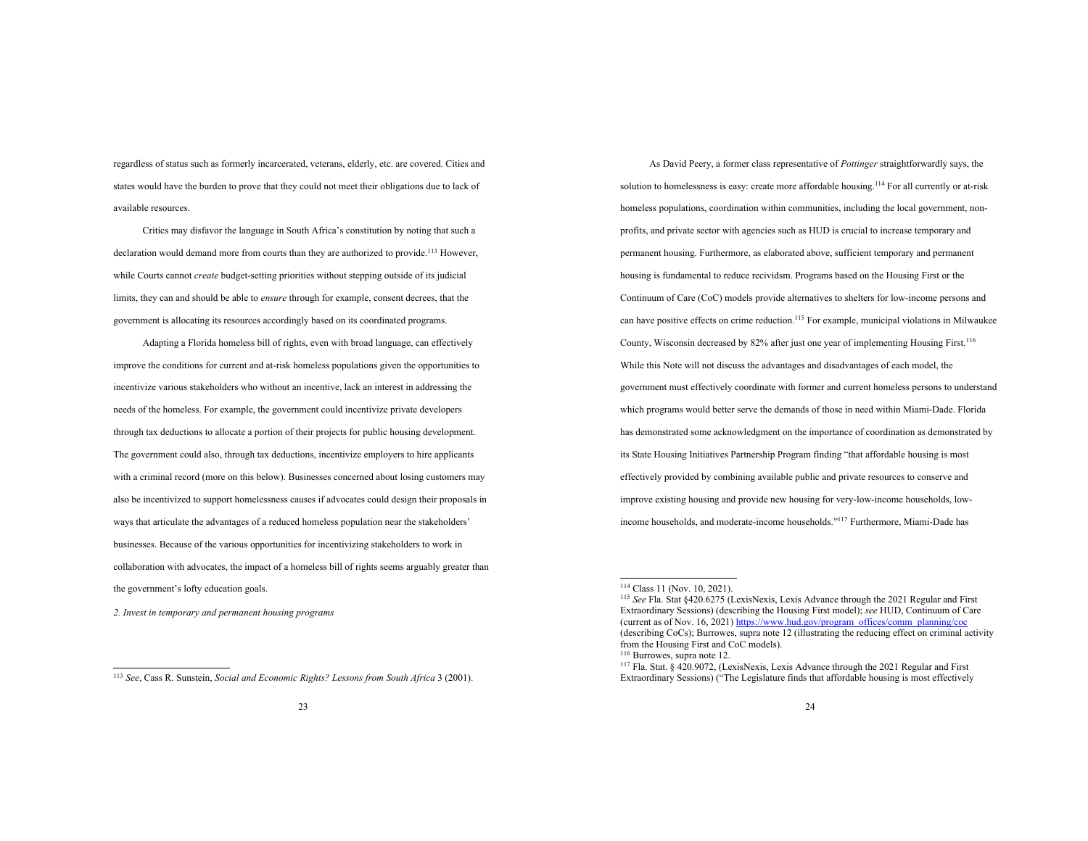regardless of status such as formerly incarcerated, veterans, elderly, etc. are covered. Cities and states would have the burden to prove that they could not meet their obligations due to lack of available resources.

Critics may disfavor the language in South Africa's constitution by noting that such a declaration would demand more from courts than they are authorized to provide.<sup>113</sup> However, while Courts cannot *create* budget-setting priorities without stepping outside of its judicial limits, they can and should be able to *ensure* through for example, consent decrees, that the government is allocating its resources accordingly based on its coordinated programs.

Adapting a Florida homeless bill of rights, even with broad language, can effectively improve the conditions for current and at-risk homeless populations given the opportunities to incentivize various stakeholders who without an incentive, lack an interest in addressing the needs of the homeless. For example, the government could incentivize private developers through tax deductions to allocate a portion of their projects for public housing development. The government could also, through tax deductions, incentivize employers to hire applicants with a criminal record (more on this below). Businesses concerned about losing customers may also be incentivized to support homelessness causes if advocates could design their proposals in ways that articulate the advantages of a reduced homeless population near the stakeholders' businesses. Because of the various opportunities for incentivizing stakeholders to work in collaboration with advocates, the impact of a homeless bill of rights seems arguably greater than the government's lofty education goals.

*2. Invest in temporary and permanent housing programs*

As David Peery, a former class representative of *Pottinger* straightforwardly says, the solution to homelessness is easy: create more affordable housing.<sup>114</sup> For all currently or at-risk homeless populations, coordination within communities, including the local government, nonprofits, and private sector with agencies such as HUD is crucial to increase temporary and permanent housing. Furthermore, as elaborated above, sufficient temporary and permanent housing is fundamental to reduce recividsm. Programs based on the Housing First or the Continuum of Care (CoC) models provide alternatives to shelters for low-income persons and can have positive effects on crime reduction. <sup>115</sup> For example, municipal violations in Milwaukee County, Wisconsin decreased by 82% after just one year of implementing Housing First.116 While this Note will not discuss the advantages and disadvantages of each model, the government must effectively coordinate with former and current homeless persons to understand which programs would better serve the demands of those in need within Miami-Dade. Florida has demonstrated some acknowledgment on the importance of coordination as demonstrated by its State Housing Initiatives Partnership Program finding "that affordable housing is most effectively provided by combining available public and private resources to conserve and improve existing housing and provide new housing for very-low-income households, lowincome households, and moderate-income households."117 Furthermore, Miami-Dade has

<sup>113</sup> *See*, Cass R. Sunstein, *Social and Economic Rights? Lessons from South Africa* 3 (2001).

<sup>114</sup> Class 11 (Nov. 10, 2021).

<sup>115</sup> *See* Fla. Stat §420.6275 (LexisNexis, Lexis Advance through the 2021 Regular and First Extraordinary Sessions) (describing the Housing First model); *see* HUD, Continuum of Care (current as of Nov. 16, 2021) https://www.hud.gov/program\_offices/comm\_planning/coc (describing CoCs); Burrowes, supra note 12 (illustrating the reducing effect on criminal activity from the Housing First and CoC models). <sup>116</sup> Burrowes, supra note 12.

<sup>117</sup> Fla. Stat. § 420.9072, (LexisNexis, Lexis Advance through the 2021 Regular and First Extraordinary Sessions) ("The Legislature finds that affordable housing is most effectively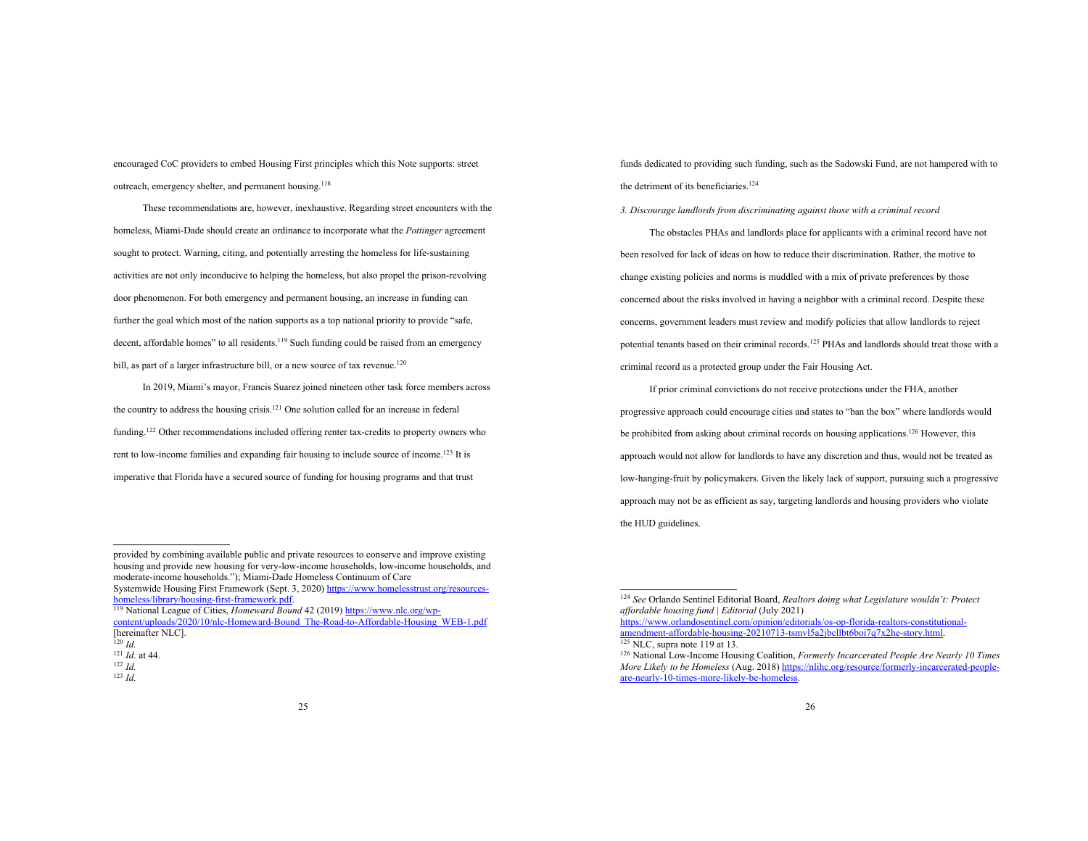encouraged CoC providers to embed Housing First principles which this Note supports: street outreach, emergency shelter, and permanent housing.<sup>118</sup>

These recommendations are, however, inexhaustive. Regarding street encounters with the homeless, Miami-Dade should create an ordinance to incorporate what the *Pottinger* agreement sought to protect. Warning, citing, and potentially arresting the homeless for life-sustaining activities are not only inconducive to helping the homeless, but also propel the prison-revolving door phenomenon. For both emergency and permanent housing, an increase in funding can further the goal which most of the nation supports as a top national priority to provide "safe, decent, affordable homes" to all residents.<sup>119</sup> Such funding could be raised from an emergency bill, as part of a larger infrastructure bill, or a new source of tax revenue.<sup>120</sup>

In 2019, Miami's mayor, Francis Suarez joined nineteen other task force members across the country to address the housing crisis. <sup>121</sup> One solution called for an increase in federal funding.<sup>122</sup> Other recommendations included offering renter tax-credits to property owners who rent to low-income families and expanding fair housing to include source of income.<sup>123</sup> It is imperative that Florida have a secured source of funding for housing programs and that trust

homeless/library/housing-first-framework.pdf. <sup>119</sup> National League of Cities, *Homeward Bound* 42 (2019) https://www.nlc.org/wp-

content/uploads/2020/10/nlc-Homeward-Bound\_The-Road-to-Affordable-Housing\_WEB-1.pdf [hereinafter NLC].

funds dedicated to providing such funding, such as the Sadowski Fund, are not hampered with to the detriment of its beneficiaries.<sup>124</sup>

*3. Discourage landlords from discriminating against those with a criminal record*

The obstacles PHAs and landlords place for applicants with a criminal record have not been resolved for lack of ideas on how to reduce their discrimination. Rather, the motive to change existing policies and norms is muddled with a mix of private preferences by those concerned about the risks involved in having a neighbor with a criminal record. Despite these concerns, government leaders must review and modify policies that allow landlords to reject potential tenants based on their criminal records.125 PHAs and landlords should treat those with a criminal record as a protected group under the Fair Housing Act.

If prior criminal convictions do not receive protections under the FHA, another progressive approach could encourage cities and states to "ban the box" where landlords would be prohibited from asking about criminal records on housing applications.<sup>126</sup> However, this approach would not allow for landlords to have any discretion and thus, would not be treated as low-hanging-fruit by policymakers. Given the likely lack of support, pursuing such a progressive approach may not be as efficient as say, targeting landlords and housing providers who violate the HUD guidelines.

provided by combining available public and private resources to conserve and improve existing housing and provide new housing for very-low-income households, low-income households, and moderate-income households."); Miami-Dade Homeless Continuum of Care Systemwide Housing First Framework (Sept. 3, 2020) https://www.homelesst

 $^{120}$  *Id.* 

<sup>121</sup> *Id.* at 44.

<sup>122</sup> *Id.* <sup>123</sup> *Id.*

<sup>124</sup> *See* Orlando Sentinel Editorial Board, *Realtors doing what Legislature wouldn't: Protect affordable housing fund | Editorial* (July 2021)

https://www.orlandosentinel.com/opinion/editorials/os-op-florida-realtors-constitutionalamendment-affordable-housing-20210713-tsmyl5a2jbcllbt6boi7q7x2he-story.html.

 $125$  NLC, supra note 119 at 13.

<sup>126</sup> National Low-Income Housing Coalition, *Formerly Incarcerated People Are Nearly 10 Times More Likely to be Homeless* (Aug. 2018) https://nlihc.org/resource/formerly-incarce are-nearly-10-times-more-likely-be-homeless.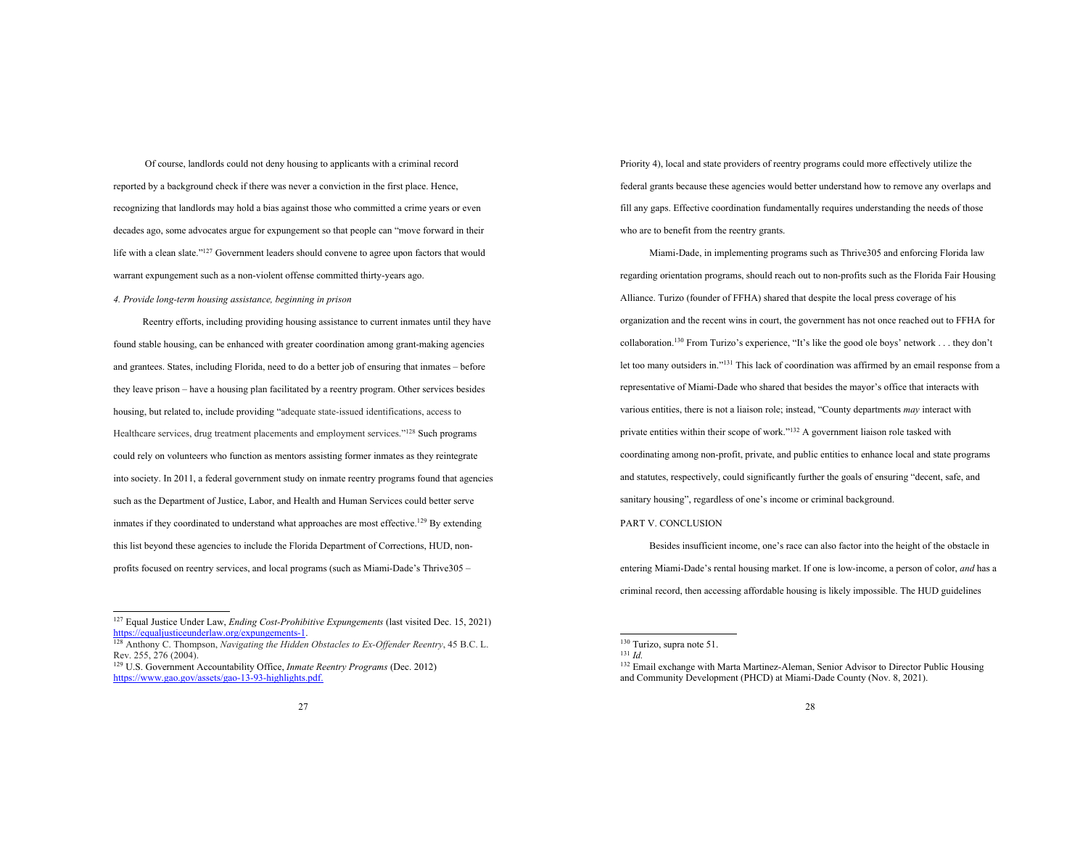Of course, landlords could not deny housing to applicants with a criminal record reported by a background check if there was never a conviction in the first place. Hence, recognizing that landlords may hold a bias against those who committed a crime years or even decades ago, some advocates argue for expungement so that people can "move forward in their life with a clean slate."127 Government leaders should convene to agree upon factors that would warrant expungement such as a non-violent offense committed thirty-years ago.

*4. Provide long-term housing assistance, beginning in prison*

Reentry efforts, including providing housing assistance to current inmates until they have found stable housing, can be enhanced with greater coordination among grant-making agencies and grantees. States, including Florida, need to do a better job of ensuring that inmates – before they leave prison – have a housing plan facilitated by a reentry program. Other services besides housing, but related to, include providing "adequate state-issued identifications, access to Healthcare services, drug treatment placements and employment services."128 Such programs could rely on volunteers who function as mentors assisting former inmates as they reintegrate into society. In 2011, a federal government study on inmate reentry programs found that agencies such as the Department of Justice, Labor, and Health and Human Services could better serve inmates if they coordinated to understand what approaches are most effective.<sup>129</sup> By extending this list beyond these agencies to include the Florida Department of Corrections, HUD, nonprofits focused on reentry services, and local programs (such as Miami-Dade's Thrive305 –

Priority 4), local and state providers of reentry programs could more effectively utilize the federal grants because these agencies would better understand how to remove any overlaps and fill any gaps. Effective coordination fundamentally requires understanding the needs of those who are to benefit from the reentry grants.

Miami-Dade, in implementing programs such as Thrive305 and enforcing Florida law regarding orientation programs, should reach out to non-profits such as the Florida Fair Housing Alliance. Turizo (founder of FFHA) shared that despite the local press coverage of his organization and the recent wins in court, the government has not once reached out to FFHA for collaboration.130 From Turizo's experience, "It's like the good ole boys' network . . . they don't let too many outsiders in."131 This lack of coordination was affirmed by an email response from a representative of Miami-Dade who shared that besides the mayor's office that interacts with various entities, there is not a liaison role; instead, "County departments *may* interact with private entities within their scope of work."<sup>132</sup> A government liaison role tasked with coordinating among non-profit, private, and public entities to enhance local and state programs and statutes, respectively, could significantly further the goals of ensuring "decent, safe, and sanitary housing", regardless of one's income or criminal background.

## PART V. CONCLUSION

Besides insufficient income, one's race can also factor into the height of the obstacle in entering Miami-Dade's rental housing market. If one is low-income, a person of color, *and* has a criminal record, then accessing affordable housing is likely impossible. The HUD guidelines

<sup>127</sup> Equal Justice Under Law, *Ending Cost-Prohibitive Expungements* (last visited Dec. 15, 2021) https://equaljusticeunderlaw.org/expungements-1.

<sup>128</sup> Anthony C. Thompson, *Navigating the Hidden Obstacles to Ex-Offender Reentry*, 45 B.C. L. Rev. 255, 276 (2004).

<sup>129</sup> U.S. Government Accountability Office, *Inmate Reentry Programs* (Dec. 2012) https://www.gao.gov/assets/gao-13-93-highlights.pdf

<sup>130</sup> Turizo, supra note 51.

<sup>131</sup> *Id.*

<sup>&</sup>lt;sup>132</sup> Email exchange with Marta Martinez-Aleman, Senior Advisor to Director Public Housing and Community Development (PHCD) at Miami-Dade County (Nov. 8, 2021).